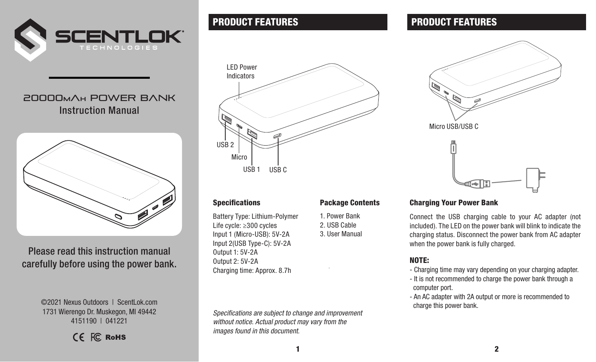

# 20000**m**A**<sup>h</sup>** Power Bank Instruction Manual



Please read this instruction manual carefully before using the power bank.

> ©2021 Nexus Outdoors | ScentLok.com 1731 Wierengo Dr. Muskegon, MI 49442 4151190 | 041221

> > CF FC RoHS



Battery Type: Lithium-Polymer Life cycle: ≥300 cycles Input 1 (Micro-USB): 5V-2A Input 2(USB Type-C): 5V-2A Output 1: 5V-2A Output 2: 5V-2A Charging time: Approx. 8.7h

*Specifications are subject to change and improvement without notice. Actual product may vary from the images found in this document.*

# **PRODUCT FEATURES PRODUCT FEATURES**



#### Specifications Package Contents

- 1. Power Bank
- 2. USB Cable
- 3. User Manual

## Charging Your Power Bank

Connect the USB charging cable to your AC adapter (not included). The LED on the power bank will blink to indicate the charging status. Disconnect the power bank from AC adapter when the power bank is fully charged.

## NOTE:

- Charging time may vary depending on your charging adapter.
- It is not recommended to charge the power bank through a computer port.
- An AC adapter with 2A output or more is recommended to charge this power bank.